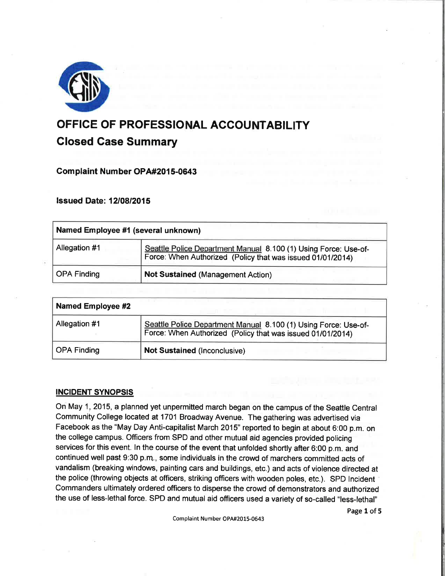

# OFFICE OF PROFESSIONAL ACCOUNTABILITY Glosed Gase Summary

# Gomplaint Number OPA#2015-0643

# **Issued Date: 12/08/2015**

| Named Employee #1 (several unknown) |                                                                                                                               |
|-------------------------------------|-------------------------------------------------------------------------------------------------------------------------------|
| Allegation #1                       | Seattle Police Department Manual 8.100 (1) Using Force: Use-of-<br>Force: When Authorized (Policy that was issued 01/01/2014) |
| <b>OPA Finding</b>                  | <b>Not Sustained (Management Action)</b>                                                                                      |

| <b>Named Employee #2</b> |                                                                                                                               |
|--------------------------|-------------------------------------------------------------------------------------------------------------------------------|
| Allegation #1            | Seattle Police Department Manual 8.100 (1) Using Force: Use-of-<br>Force: When Authorized (Policy that was issued 01/01/2014) |
| OPA Finding              | <b>Not Sustained (Inconclusive)</b>                                                                                           |

# INCIDENT SYNOPSIS

On May 1,2015, a planned yet unpermitted march began on the campus of the Seattle Central Community College located at 1701 Broadway Avenue. The gathering was advertised via Facebook as the "May Day Anti-capitalist March 2015" reported to begin at about 6:00 p.m. on the college campus. Officers from SPD and other mutual aid agencies provided policing services for this event. ln the course of the event that unfolded shortly after 6:00 p.m. and continued well past g:30 p.m., some individuals in the crowd of marchers committed acts of vandalism (breaking windows, painting cars and buildings, etc.) and acts of violence directed at the police (throwing objects at officers, striking officers with wooden poles, etc.). SPD Incident Commanders ultimately ordered officers to disperse the crowd of demonstrators and authorized the use of less-lethal force. SPD and mutual aid officers used a variety of so-called "less-lethal"

Page 1 of 5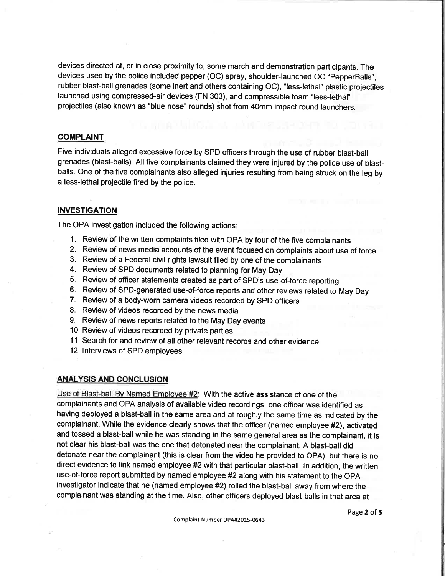devices directed at, or in close proximity to, some march and demonstration participants. The devices used by the police included pepper (OC) spray, shoulder-launched OC "PepperBalls", rubber blast-ball grenades (some inert and others containing OC), "less-lethal" plastic projectiles launched using compressed-air devices (FN 303), and compressible foam "less-lethal" projectiles (also known as "blue nose" rounds) shot from 40mm impact round launchers.

## COMPLAINT

Five individuals alleged excessive force by SPD officers through the use of rubber blast-ball grenades (blast-balls). All five complainants claimed they were injured by the police use of blastballs. One of the five complainants also alleged injuries resulting from being struck on the leg by a less-lethal projectile fired by the police.

## **INVESTIGATION**

The OPA investigation included the following actions

- 1. Review of the written complaints filed with OPA by four of the five complainants
- 2. Review of news media accounts of the event focused on complaints about use of force
- 3. Review of a Federal civil rights lawsuit filed by one of the complainants
- 4. Review of SPD documents related to planning for May Day
- 5. Review of officer statements created as part of SPD's use-of-force reporting
- 6. Review of SPD-generated use-of-force reports and other reviews related to May Day
- 7. Review of a body-worn camera videos recorded by SpD officers
- 8. Review of videos recorded by the news media
- 9. Review of news reports related to the May Day events
- 10. Review of videos recorded by private parties
- <sup>1</sup>1. search for and review of all other relevant records and other evidence
- 12. lnterviews of SPD employees

## ANALYSIS AND CONCLUSION

Use of Blast-ball Bv Named Emplovee #2: With the active assistance of one of the complainants and OPA analysis of available video recordings, one officer was identified as having deployed a blast-ball in the same area and at roughly the same time as indicated by the complainant. While the evidence clearly shows that the officer (named employee #2), activated and tossed a blast-ball while he was standing in the same general area as the complainant, it is not clear his blast-ballwas the one that detonated near the complainant. A blast-ball did detonate near the complainant (this is clear from the video he provided to OPA), but there is no direct evidence to link named employee #2 with that particular blast-ball. ln addition, the written use-of-force report submitted by named employee #2 along with his statement to the OPA investigator indicate that he (named employee #2) rolled the blast-ball away from where the complainant was standing at the time. Also, other officers deployed blast-balls in that area at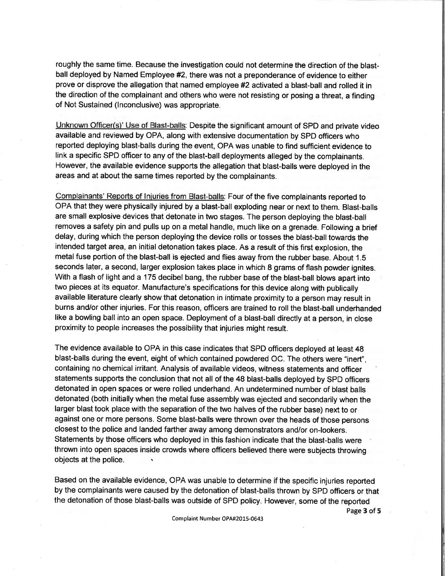roughly the same time. Because the investigation could not determine the direction of the blastball deployed by Named Employee #2, there was not a preponderance of evidence to either prove or disprove the allegation that named employee #2 activated a blast-ball and rolled it in the direction of the complainant and others who were not resisting or posing a threat, a finding of Not Sustained (lnconclusive) was appropriate.

Unknown Officer(s)' Use of Blast-balls: Despite the significant amount of SPD and private video available and reviewed by OPA, along with extensive documentation by SPD officers who reported deploying blast-balls during the event, OPA was unable to find sufficient evidence to link a specific SPD officer to any of the blast-ball deployments alleged by the complainants. However, the available evidence supports the allegation that blast-balls were deployed in the areas and at about the same times reported by the complainants.

Complainants' Reports of lniuries from Blast-balls: Four of the five complainants reported to OPA that they were physically injured by a blast-ball exploding near or next to them. Blast-balls are small explosive devices that detonate in two stages. The person deploying the blast-ball removes a safety pin and pulls up on a metal handle, much like on a grenade. Following a brief delay, during which the person deploying the device rolls or tosses the blast-ball towards the intended target area, an initial detonation takes place. As a result of this first explosion, the metal fuse portion of the blast-ball is ejected and flies away from the rubber base. About 1.5 seconds later, a second, larger explosion takes place in which 8 grams of flash powder ignites. With a flash of light and a 175 decibel bang, the rubber base of the blast-ball blows apart into two pieces at its equator. Manufacture's specifìcations for this device along with publically available literature clearly show that detonation in intimate proximity to a person may result in burns and/or other injuries. For this reason, officers are trained to roll the blast-ball underhanded like a bowling ball into an open space. Deployment of a blast-ball directly at a person, in close proximity to people increases the possibility that injuries might result.

The evidence available to OPA in this case indicates that SPD officers deployed at least 48 blast-balls during the event, eight of which contained powdered OC. The others were "inert", containing no chemical irritant. Analysis of available videos, witness statements and officer statements supports the conclusion that not all of the 48 blast-balls deployed by SPD officers detonated in open spaces or were rolled underhand. An undetermined number of blast balls detonated (both initially when the metal fuse assembly was ejected and secondarily when the larger blast took place with the separation of the two halves of the rubber base) next to or against one or more persons. Some blast-balls were thrown over the heads of those persons closest to the police and landed farther away among demonstrators and/or on-lookers. Statements by those officers who deployed in this fashion indicate that the blast-balls were thrown into open spaces inside crowds where officers believed there were subjects throwing objects at the police. \

Based on the available evidence, OPA was unable to determine if the specific injuries reported by the complainants were caused by the detonation of blast-balls thrown by SPD officers or that the detonation of those blast-balls was outside of SPD policy. However, some of the reported

Complaint Number OPA#2015-0643

Page 3 of 5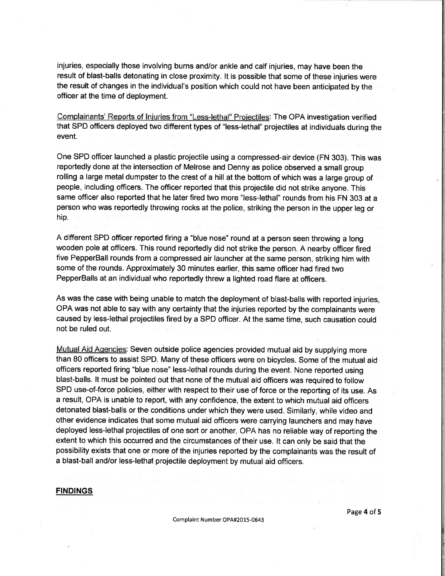injuries, especially those involving burns and/or ankle and calf injuries, may have been the result of blast-balls detonating in close proximity. It is possible that some of these injuries were the result of changes in the individual's position which could not have been anticipated by the officer at the time of deployment.

Complainants' Reports of lniuries from "Less.lethal" Proiectiles: The OPA investigation verified that SPD officers deployed two different types of "less-lethal" projectiles at individuals during the event.

One SPD officer launched a plastic projectile using a compressed-air device (FN 303). This was reportedly done at the intersection of Melrose and Denny as police obserued a small group rolling a large metal dumpster to the crest of a hill at the bottom of which was a large group of people, including officers. The officer reported that this projectile did not strike anyone. This same officer also reported that he later fired two more "less-lethal" rounds from his FN 303 at a person who was reportedly throwing rocks at the police, striking the person in the upper leg or hip.

A different SPD officer reported firing a "blue nose" round at a person seen throwing a long wooden pole at officers. This round reportedly did not strike the person. A nearby officer fired five PepperBall rounds from a compressed air launcher at the same person, striking him with some of the rounds. Approximately 30 minutes earlier, this same officer had fired two PepperBalls at an individualwho reportedly threw a lighted road flare at officers.

As was the case with being unable to match the deployment of blast-balls with reported injuries, OPA was not able to say with any certainty that the injuries reported by the complainants were caused by less-lethal projectiles fired by a SPD officer. At the same time, such causation could not be ruled out.

Mutual Aid Agencies: Seven outside police agencies provided mutual aid by supplying more than 80 officers to assist SPD. Many of these officers were on bicycles. Some of the mutual aid officers reported firing "blue nose" less-lethal rounds during the event. None reported using blast-balls. lt must be pointed out that none of the mutual aid officers was required to follow SPD use-of-force policies, either with respect to their use of force or the reporting of its use. As a result, OPA is unable to report, with any confidence, the extent to which mutual aid officers detonated blast-balls or the conditions under which they were used. Similarly, while video and other evidence indicates that some mutual aid officers were carrying launchers and may have deployed less-lethal projectiles of one sort or another, OPA has no reliable way of reporting the extent to which this occurred and the circumstances of their use. lt can only be said that the possibility exists that one or more of the injuries reported by the complainants was the result of a blast-ball and/or less-lethal projectile deployment by mutual aid officers.

#### **FINDINGS**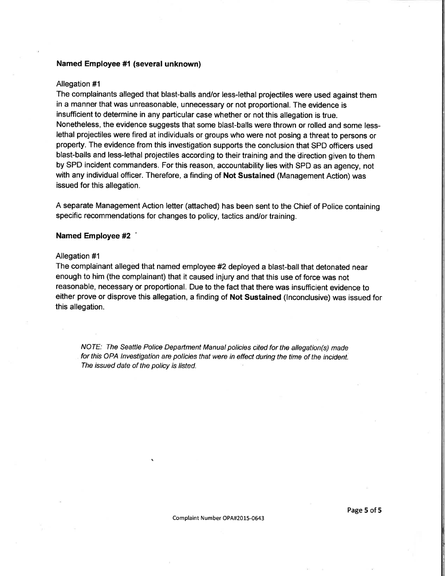## Named Employee #1 (several unknown)

#### Allegation #1

The complainants alleged that blast-balls and/or less-lethal projectiles were used against them in a manner that was unreasonable, unnecessary or not proportional. The evidence is insufficient to determine in any particular case whether or not this allegation is true. Nonetheless, the evidence suggests that some blast-balls were thrown or rolled and some lesslethal projectiles were fired at individuals or groups who were not posing a threat to persons or property. The evidence from this investigation supports the conclusion that SPD officers used blast-balls and less-lethal projectiles according to their training and the direction given to them by SPD incident commanders. For this reason, accountability lies with SPD as an agency, not with any individual officer. Therefore, a finding of Not Sustained (Management Action) was issued for this allegation.

A separate Management Action letter (attached) has been sent to the Chief of Police containing specific recommendations for changes to policy, tactics and/or training.

## Named Employee #2 '

## Allegation #1

The complainant alleged that named employee #2 deployed a blast-ball that detonated near enough to him (the complainant) that it caused injury and that this use of force was not reasonable, necessary or proportional. Due to the fact that there was insufficient evidence to either prove or disprove this allegation, a finding of Not Sustained (lnconclusive) was issued for this allegation.

NOTE: The Seattle Police Department Manual policies cited forthe allegation(s) made for this OPA lnvestigation are policies that were in effect during the time of the incident. The issued date of the policy is listed.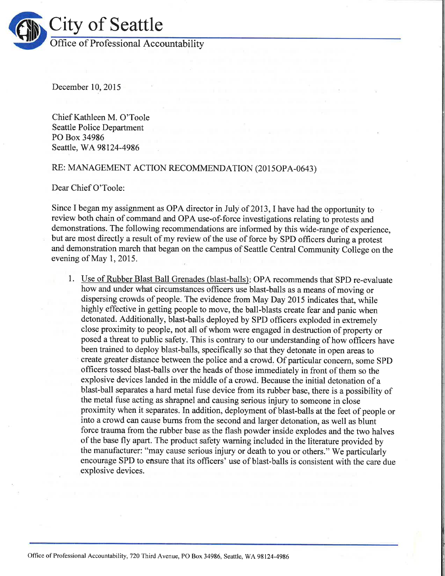

December 10,2015

Chief Kathleen M. O'Toole Seattle Police Department PO Box 34986 Seattle, WA 98124-4986

# RE: MANAGEMENT ACTION RECOMMENDATION (2015OPA-0643)

Dear Chief O'Toole:

Since I began my assignment as OPA director in July of 2013, I have had the opportunity to review both chain of command and OPA use-of-force investigations relating to protests and demonstrations. The following recommendations are informed by this wide-range of experience, but are most directly a result of my review of the use of force by SPD officers during a protest and demonstration march that began on the campus of Seattle Central Community College on the evening of May 1, 2015.

1. Use of Rubber Blast Ball Grenades (blast-balls): OPA recommends that SPD re-evaluate how and under what circumstances officers use blast-balls as a means of moving or dispersing crowds of people. The evidence from May Day 2015 indicates that, while highly effective in getting people to move, the ball-blasts create fear and panic when detonated. Additionally, blast-balls deployed by SPD officers exploded in extremely close proximity to people, not all of whom were engaged in destruction of property or posed a threat to public safety. This is contrary to our understanding of how officers have been trained to deploy blast-balls, specifically so that they detonate in open areas to create greater distance between the police and a crowd. Of particular concem, some SPD officers tossed blast-balls over the heads of those immediately in front of them so the explosive devices landed in the middle of a crowd. Because the initial detonation of <sup>a</sup> blast-ball separates a hard metal fuse device from its rubber base, there is a possibility of the metal fuse acting as shrapnel and causing serious injury to someone in close proximity when it separates. In addition, deployment of blast-balls at the feet of people or into a crowd can cause bums from the second and larger detonation, as well as blunt force trauma from the rubber base as the flash powder inside explodes and the two halves of the base fly apart. The product safety warning included in the literature provided by the manufacturer: "may cause serious injury or death to you or others." We particularly encourage SPD to ensure that its officers' use of blast-balls is consistent with the care due explosive devices.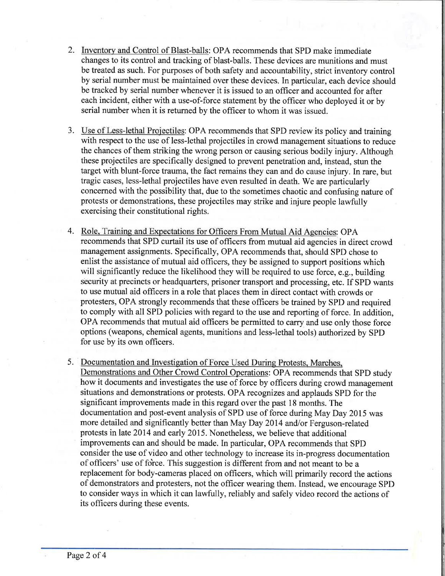- 2. Inventory and Control of Blast-balls: OPA recommends that SPD make immediate changes to its control and tracking of blast-balls. These devices are munitions and must be treated as such. For purposes of both safety and accountability, strict inventory control by serial number must be maintained over these devices. In particular, each device should be tracked by serial number whenever it is issued to an officer and accounted for after each incident, either with a use-of-force statement by the officer who deployed it or by serial number when it is returned by the officer to whom it was issued.
- 3. Use of Less-lethal Projectiles: OPA recommends that SPD review its policy and training with respect to the use of less-lethal projectiles in crowd management situations to reduce the chances of them striking the wrong person or causing serious bodily injury. Although these projectiles are specifically designed to prevent penetration and, instead, stun the target with blunt-force trauma, the fact remains they can and do cause injury. In rare, but tragic cases, less-lethal projectiles have even resulted in death. We are particularly concerned with the possibility that, due to the sometimes chaotic and confusing nature of protests or demonstrations, these projectiles may strike and injure people lawfully exercising their constitutional rights.
- 4. Role. Training and Expectations for Ofhcers From Mutual Aid Agencies: OPA recommends that SPD curtail its use of officers from mutual aid agencies in direct crowd management assignments. Specifically, OPA recommends that, should SPD chose to enlist the assistance of mutual aid officers, they be assigned to support positions which will significantly reduce the likelihood they will be required to use force, e.g., building security at precincts or headquarters, prisoner transport and processing, etc. If SPD wants to use mutual aid officers in a role that places them in direct contact with crowds or protesters, OPA strongly recommends that these officers be trained by SPD and required to comply with all SPD policies with regard to the use and reporting of force. In addition, OPA recommends that mutual aid officers be permitted to carry and use only those force options (weapons, chemical agents, munitions and less-lethal tools) authorized by SPD for use by its own officers.
- 5. Documentation and Investigation of Force Used During Protests. Marches.

Demonstrations and Other Crowd Control Operations: OPA recommends that SPD study how it documents and investigates the use of force by officers during crowd management situations and demonstrations or protests. OPA recognizes and applauds SPD for the significant improvements made in this regard over the past 18 months. The documentation and post-event analysis of SPD use of force during May Day 2015 was more detailed and significantly better than May Day 2014 and/or Ferguson-related protests in late 2014 and early 2015. Nonetheless, we believe that additional improvements can and should be made. In particular, OPA recommends that SPD consider the use of video and other technology to increase its in-progress documentation of officers' use of fo'rce. This suggestion is different from and not meant to be a replacement for body-cameras placed on officers, which will primarily record the actions of demonstrators and protesters, not the officer wearing them. Instead, we encourage SPD to consider ways in which it can lawfully, reliably and safely video record the actions of its officers during these events.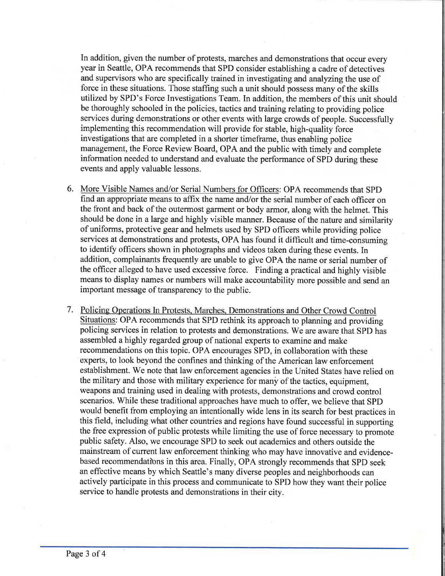In addition, given the number of protests, marches and demonstrations that occur every year in Seattle, OPA recommends that SPD consider establishing a cadre of detectives and supervisors who are specifically trained in investigating and analyzing the use of force in these situations. Those staffing such a unit should possess many of the skills utilized by SPD's Force Investigations Team. In addition, the members of this unit should be thoroughly schooled in the policies, tactics and training relating to providing police services during demonstrations or other events with large crowds of people. Successfully implementing this recommendation will provide for stable, high-quality force investigations that are completed in a shorter timeframe, thus enabling police management, the Force Review Board, OPA and the public with timely and complete information needed to understand and evaluate the performance of SPD during these events and apply valuable lessons.

- 6. More Visible Names and/or Serial Numbers for Officers: OPA recommends that SPD find an appropriate means to affix the name and/or the serial number of each officer on the front and back of the outermost garment or body armor, along with the helmet. This should be done in a large and highly visible manner. Because of the nature and similarity of uniforms, protective gear and helmets used by SPD officers while providing police services at demonstrations and protests, OPA has found it difficult and time-consuming to identify officers shown in photographs and videos taken during these events. In addition, complainants frequently are unable to give OPA the name or serial number of the officer alleged to have used excessive force. Finding a practical and highly visible means to display names or numbers will make accountability more possible and send an important message of transparency to the public.
- 7. Policing Operations In Protests. Marches. Demonstrations and Other Crowd Control Situations: OPA recommends that SPD rethink its approach to planning and providing policing services in relation to protests and demonstrations. We are aware that SPD has assembled a highly regarded group of national experts to examine and make recommendations on this topic. OPA encourages SPD, in collaboration with these experts, to look beyond the confines and thinking of the American law enforcement establishment. We note that law enforcement agencies in the United States have relied on the military and those with military experience for many of the tactics, equipment, weapons and training used in dealing with protests, demonstrations and crowd control scenarios. While these traditional approaches have much to offer, we believe that SPD would benefit from employing an intentionally wide lens in its search for best practices in this field, including what other countries and regions have found successful in supporting the free expression of public protests while limiting the use of force necessary to promote public safety. Also, we encourage SPD to seek out academics and others outside the mainstream of current law enforcement thinking who may have innovative and evidencebased recommendations in this area. Finally, OPA strongly recommends that SPD seek an effective means by which Seattle's many diverse peoples and neighborhoods can actively participate in this process and communicate to SPD how they want their police service to handle protests and demonstrations in their city.